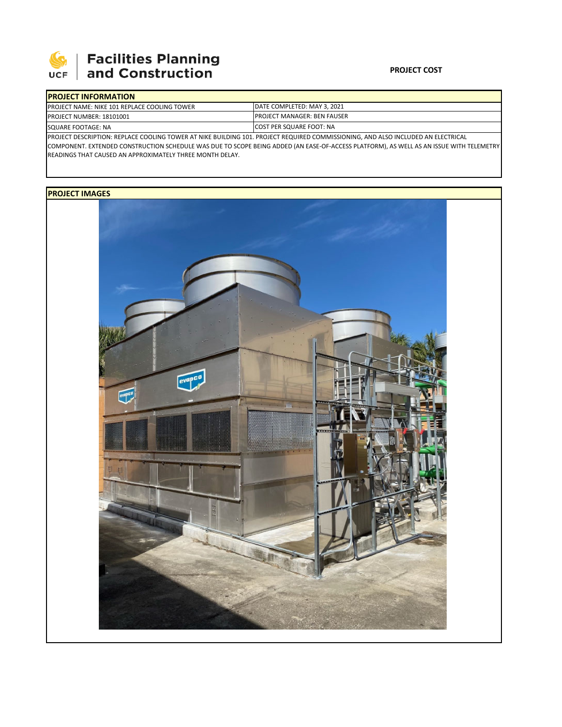

## **Facilities Planning**<br>and Construction

## **PROJECT COST**

| <b>IPROJECT INFORMATION</b>                         |                                                                                                                                  |
|-----------------------------------------------------|----------------------------------------------------------------------------------------------------------------------------------|
| <b>PROJECT NAME: NIKE 101 REPLACE COOLING TOWER</b> | DATE COMPLETED: MAY 3. 2021                                                                                                      |
| PROJECT NUMBER: 18101001                            | <b>IPROJECT MANAGER: BEN FAUSER</b>                                                                                              |
| SQUARE FOOTAGE: NA                                  | <b>ICOST PER SQUARE FOOT: NA</b>                                                                                                 |
|                                                     | PROJECT DESCRIPTION: REPLACE COOLING TOWER AT NIKE BUILDING 101. PROJECT REQUIRED COMMISSIONING, AND ALSO INCLUDED AN ELECTRICAL |

COMPONENT. EXTENDED CONSTRUCTION SCHEDULE WAS DUE TO SCOPE BEING ADDED (AN EASE‐OF‐ACCESS PLATFORM), AS WELL AS AN ISSUE WITH TELEMETRY READINGS THAT CAUSED AN APPROXIMATELY THREE MONTH DELAY.